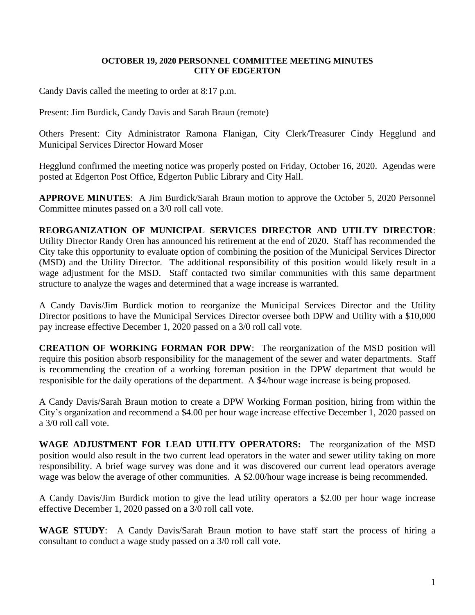## **OCTOBER 19, 2020 PERSONNEL COMMITTEE MEETING MINUTES CITY OF EDGERTON**

Candy Davis called the meeting to order at 8:17 p.m.

Present: Jim Burdick, Candy Davis and Sarah Braun (remote)

Others Present: City Administrator Ramona Flanigan, City Clerk/Treasurer Cindy Hegglund and Municipal Services Director Howard Moser

Hegglund confirmed the meeting notice was properly posted on Friday, October 16, 2020. Agendas were posted at Edgerton Post Office, Edgerton Public Library and City Hall.

**APPROVE MINUTES**: A Jim Burdick/Sarah Braun motion to approve the October 5, 2020 Personnel Committee minutes passed on a 3/0 roll call vote.

**REORGANIZATION OF MUNICIPAL SERVICES DIRECTOR AND UTILTY DIRECTOR**: Utility Director Randy Oren has announced his retirement at the end of 2020. Staff has recommended the City take this opportunity to evaluate option of combining the position of the Municipal Services Director (MSD) and the Utility Director. The additional responsibility of this position would likely result in a wage adjustment for the MSD. Staff contacted two similar communities with this same department structure to analyze the wages and determined that a wage increase is warranted.

A Candy Davis/Jim Burdick motion to reorganize the Municipal Services Director and the Utility Director positions to have the Municipal Services Director oversee both DPW and Utility with a \$10,000 pay increase effective December 1, 2020 passed on a 3/0 roll call vote.

**CREATION OF WORKING FORMAN FOR DPW**: The reorganization of the MSD position will require this position absorb responsibility for the management of the sewer and water departments. Staff is recommending the creation of a working foreman position in the DPW department that would be responisible for the daily operations of the department. A \$4/hour wage increase is being proposed.

A Candy Davis/Sarah Braun motion to create a DPW Working Forman position, hiring from within the City's organization and recommend a \$4.00 per hour wage increase effective December 1, 2020 passed on a 3/0 roll call vote.

**WAGE ADJUSTMENT FOR LEAD UTILITY OPERATORS:** The reorganization of the MSD position would also result in the two current lead operators in the water and sewer utility taking on more responsibility. A brief wage survey was done and it was discovered our current lead operators average wage was below the average of other communities. A \$2.00/hour wage increase is being recommended.

A Candy Davis/Jim Burdick motion to give the lead utility operators a \$2.00 per hour wage increase effective December 1, 2020 passed on a 3/0 roll call vote.

**WAGE STUDY**: A Candy Davis/Sarah Braun motion to have staff start the process of hiring a consultant to conduct a wage study passed on a 3/0 roll call vote.